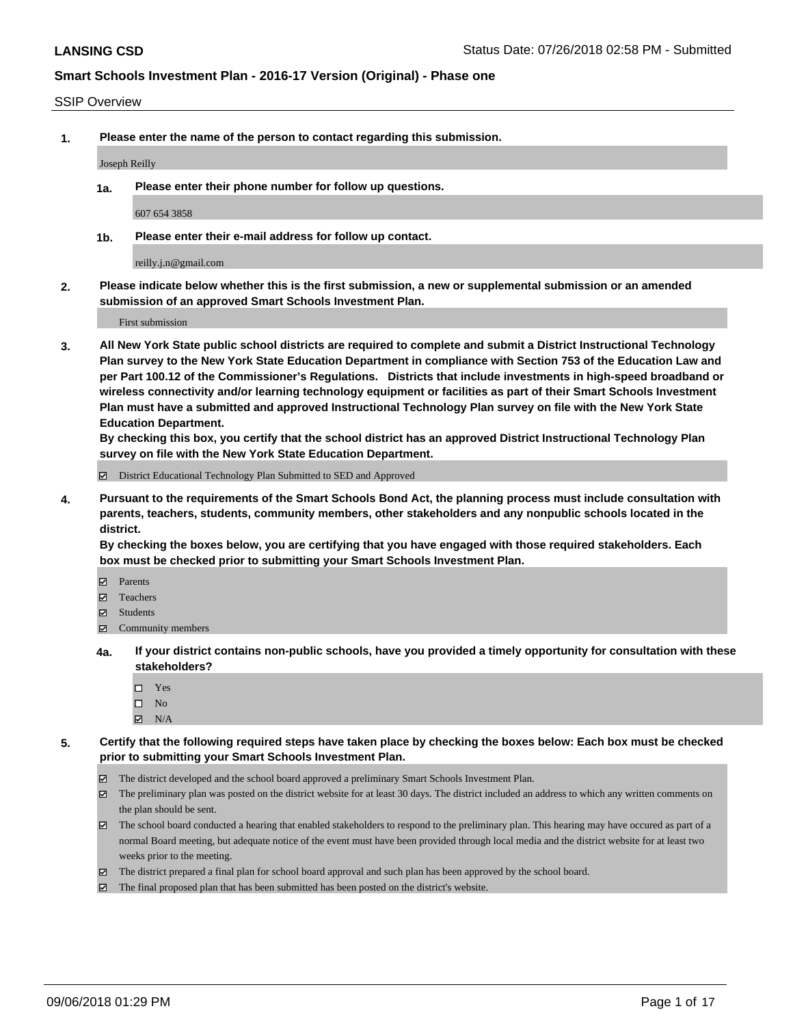#### SSIP Overview

**1. Please enter the name of the person to contact regarding this submission.**

Joseph Reilly

**1a. Please enter their phone number for follow up questions.**

607 654 3858

**1b. Please enter their e-mail address for follow up contact.**

reilly.j.n@gmail.com

**2. Please indicate below whether this is the first submission, a new or supplemental submission or an amended submission of an approved Smart Schools Investment Plan.**

First submission

**3. All New York State public school districts are required to complete and submit a District Instructional Technology Plan survey to the New York State Education Department in compliance with Section 753 of the Education Law and per Part 100.12 of the Commissioner's Regulations. Districts that include investments in high-speed broadband or wireless connectivity and/or learning technology equipment or facilities as part of their Smart Schools Investment Plan must have a submitted and approved Instructional Technology Plan survey on file with the New York State Education Department.** 

**By checking this box, you certify that the school district has an approved District Instructional Technology Plan survey on file with the New York State Education Department.**

District Educational Technology Plan Submitted to SED and Approved

**4. Pursuant to the requirements of the Smart Schools Bond Act, the planning process must include consultation with parents, teachers, students, community members, other stakeholders and any nonpublic schools located in the district.** 

**By checking the boxes below, you are certifying that you have engaged with those required stakeholders. Each box must be checked prior to submitting your Smart Schools Investment Plan.**

- **Parents**
- Teachers
- **☑** Students
- **☑** Community members
- **4a. If your district contains non-public schools, have you provided a timely opportunity for consultation with these stakeholders?**
	- □ Yes
	- $\square$  No
	- $\boxtimes$  N/A
- **5. Certify that the following required steps have taken place by checking the boxes below: Each box must be checked prior to submitting your Smart Schools Investment Plan.**
	- The district developed and the school board approved a preliminary Smart Schools Investment Plan.
	- $\boxtimes$  The preliminary plan was posted on the district website for at least 30 days. The district included an address to which any written comments on the plan should be sent.
	- The school board conducted a hearing that enabled stakeholders to respond to the preliminary plan. This hearing may have occured as part of a normal Board meeting, but adequate notice of the event must have been provided through local media and the district website for at least two weeks prior to the meeting.
	- The district prepared a final plan for school board approval and such plan has been approved by the school board.
	- The final proposed plan that has been submitted has been posted on the district's website.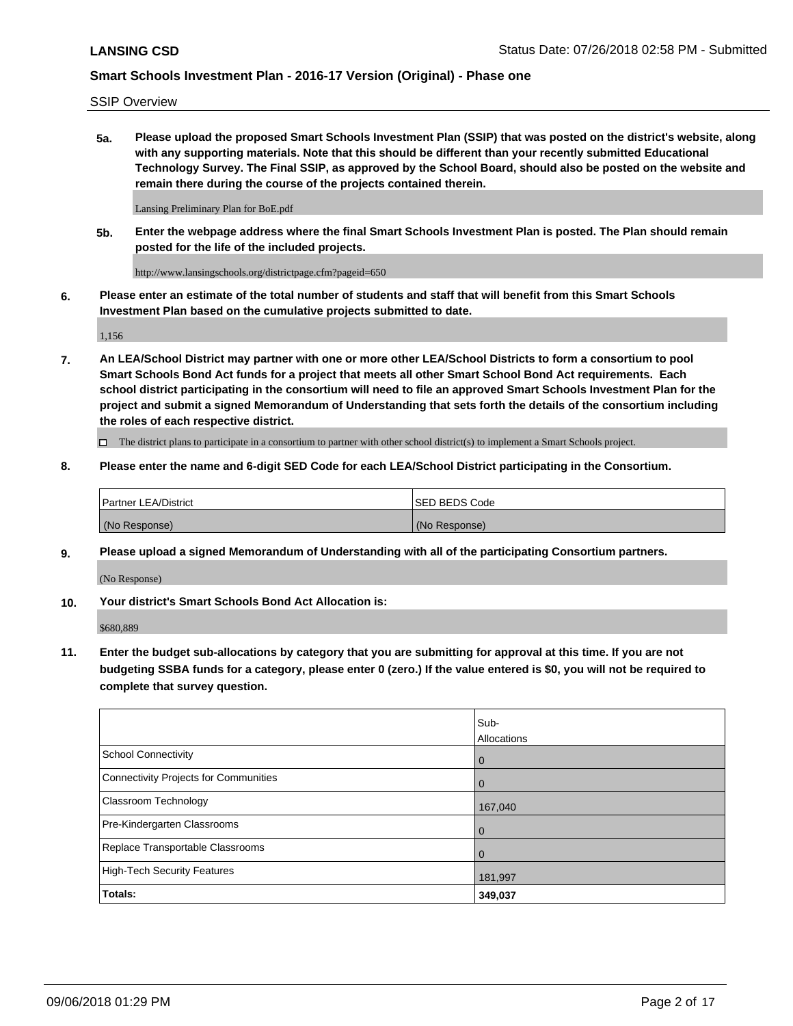SSIP Overview

**5a. Please upload the proposed Smart Schools Investment Plan (SSIP) that was posted on the district's website, along with any supporting materials. Note that this should be different than your recently submitted Educational Technology Survey. The Final SSIP, as approved by the School Board, should also be posted on the website and remain there during the course of the projects contained therein.**

Lansing Preliminary Plan for BoE.pdf

**5b. Enter the webpage address where the final Smart Schools Investment Plan is posted. The Plan should remain posted for the life of the included projects.**

http://www.lansingschools.org/districtpage.cfm?pageid=650

**6. Please enter an estimate of the total number of students and staff that will benefit from this Smart Schools Investment Plan based on the cumulative projects submitted to date.**

1,156

**7. An LEA/School District may partner with one or more other LEA/School Districts to form a consortium to pool Smart Schools Bond Act funds for a project that meets all other Smart School Bond Act requirements. Each school district participating in the consortium will need to file an approved Smart Schools Investment Plan for the project and submit a signed Memorandum of Understanding that sets forth the details of the consortium including the roles of each respective district.**

 $\Box$  The district plans to participate in a consortium to partner with other school district(s) to implement a Smart Schools project.

#### **8. Please enter the name and 6-digit SED Code for each LEA/School District participating in the Consortium.**

| <b>Partner LEA/District</b> | <b>ISED BEDS Code</b> |
|-----------------------------|-----------------------|
| (No Response)               | (No Response)         |

#### **9. Please upload a signed Memorandum of Understanding with all of the participating Consortium partners.**

(No Response)

**10. Your district's Smart Schools Bond Act Allocation is:**

\$680,889

**11. Enter the budget sub-allocations by category that you are submitting for approval at this time. If you are not budgeting SSBA funds for a category, please enter 0 (zero.) If the value entered is \$0, you will not be required to complete that survey question.**

|                                       | Sub-<br>Allocations |
|---------------------------------------|---------------------|
| <b>School Connectivity</b>            | $\overline{0}$      |
| Connectivity Projects for Communities | $\overline{0}$      |
| <b>Classroom Technology</b>           | 167,040             |
| Pre-Kindergarten Classrooms           | $\overline{0}$      |
| Replace Transportable Classrooms      | $\Omega$            |
| High-Tech Security Features           | 181,997             |
| Totals:                               | 349,037             |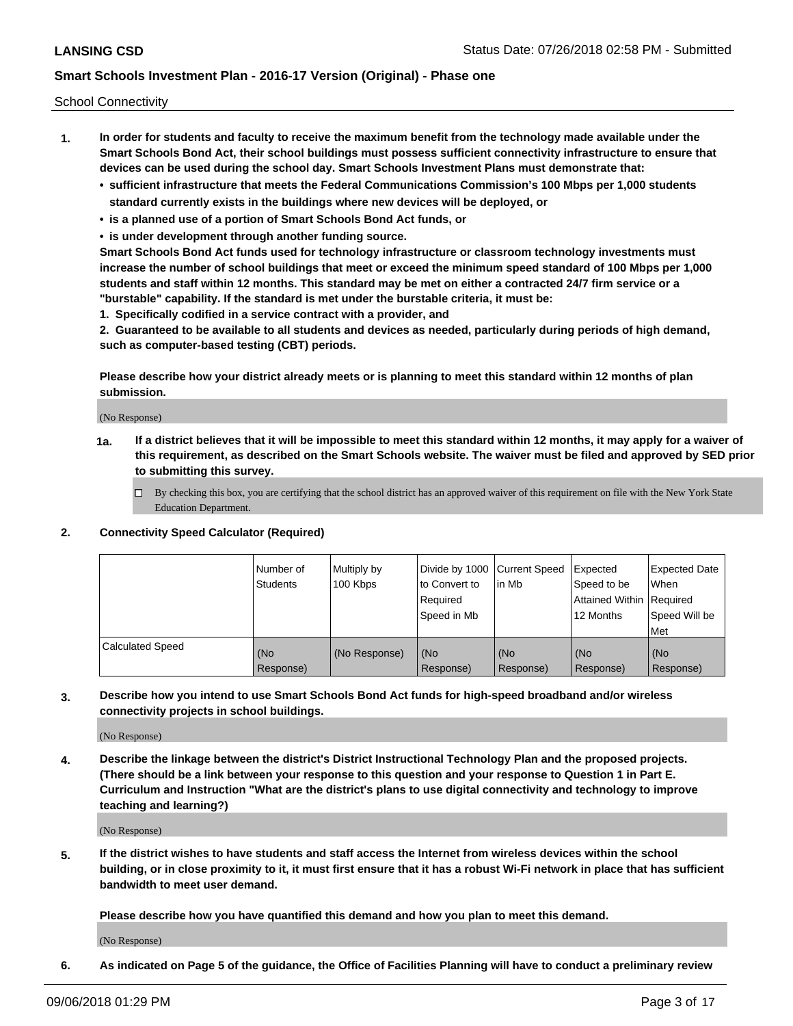School Connectivity

- **1. In order for students and faculty to receive the maximum benefit from the technology made available under the Smart Schools Bond Act, their school buildings must possess sufficient connectivity infrastructure to ensure that devices can be used during the school day. Smart Schools Investment Plans must demonstrate that:**
	- **• sufficient infrastructure that meets the Federal Communications Commission's 100 Mbps per 1,000 students standard currently exists in the buildings where new devices will be deployed, or**
	- **• is a planned use of a portion of Smart Schools Bond Act funds, or**
	- **• is under development through another funding source.**

**Smart Schools Bond Act funds used for technology infrastructure or classroom technology investments must increase the number of school buildings that meet or exceed the minimum speed standard of 100 Mbps per 1,000 students and staff within 12 months. This standard may be met on either a contracted 24/7 firm service or a "burstable" capability. If the standard is met under the burstable criteria, it must be:**

**1. Specifically codified in a service contract with a provider, and**

**2. Guaranteed to be available to all students and devices as needed, particularly during periods of high demand, such as computer-based testing (CBT) periods.**

**Please describe how your district already meets or is planning to meet this standard within 12 months of plan submission.**

(No Response)

**1a. If a district believes that it will be impossible to meet this standard within 12 months, it may apply for a waiver of this requirement, as described on the Smart Schools website. The waiver must be filed and approved by SED prior to submitting this survey.**

 $\Box$  By checking this box, you are certifying that the school district has an approved waiver of this requirement on file with the New York State Education Department.

#### **2. Connectivity Speed Calculator (Required)**

|                         | Number of<br>Students | Multiply by<br>100 Kbps | Divide by 1000 Current Speed<br>to Convert to<br>Required<br>Speed in Mb | lin Mb           | Expected<br>Speed to be<br>Attained Within   Required<br>12 Months | <b>Expected Date</b><br>When<br>Speed Will be<br><b>Met</b> |
|-------------------------|-----------------------|-------------------------|--------------------------------------------------------------------------|------------------|--------------------------------------------------------------------|-------------------------------------------------------------|
| <b>Calculated Speed</b> | (No<br>Response)      | (No Response)           | (No<br>Response)                                                         | (No<br>Response) | (No<br>Response)                                                   | (No<br>Response)                                            |

**3. Describe how you intend to use Smart Schools Bond Act funds for high-speed broadband and/or wireless connectivity projects in school buildings.**

(No Response)

**4. Describe the linkage between the district's District Instructional Technology Plan and the proposed projects. (There should be a link between your response to this question and your response to Question 1 in Part E. Curriculum and Instruction "What are the district's plans to use digital connectivity and technology to improve teaching and learning?)**

(No Response)

**5. If the district wishes to have students and staff access the Internet from wireless devices within the school building, or in close proximity to it, it must first ensure that it has a robust Wi-Fi network in place that has sufficient bandwidth to meet user demand.**

**Please describe how you have quantified this demand and how you plan to meet this demand.**

(No Response)

**6. As indicated on Page 5 of the guidance, the Office of Facilities Planning will have to conduct a preliminary review**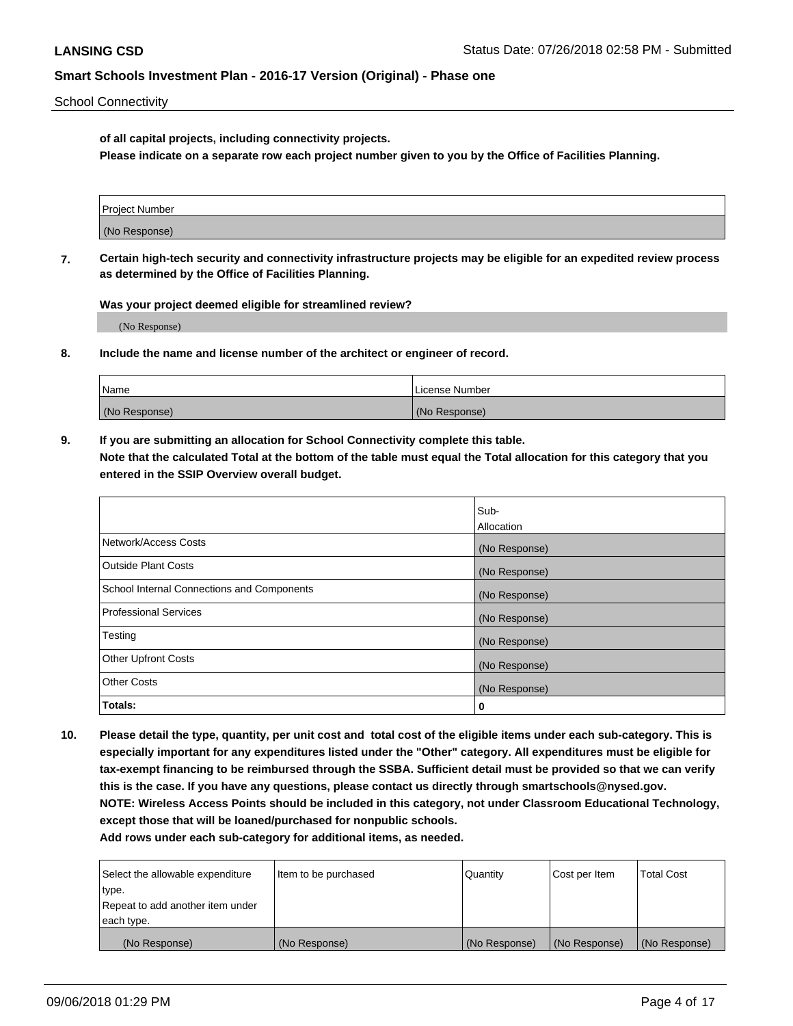School Connectivity

**of all capital projects, including connectivity projects.**

**Please indicate on a separate row each project number given to you by the Office of Facilities Planning.**

| Project Number |  |
|----------------|--|
|                |  |
| (No Response)  |  |
|                |  |

**7. Certain high-tech security and connectivity infrastructure projects may be eligible for an expedited review process as determined by the Office of Facilities Planning.**

**Was your project deemed eligible for streamlined review?**

(No Response)

**8. Include the name and license number of the architect or engineer of record.**

| Name          | License Number |
|---------------|----------------|
| (No Response) | (No Response)  |

**9. If you are submitting an allocation for School Connectivity complete this table. Note that the calculated Total at the bottom of the table must equal the Total allocation for this category that you entered in the SSIP Overview overall budget.** 

|                                            | Sub-              |
|--------------------------------------------|-------------------|
|                                            | <b>Allocation</b> |
| Network/Access Costs                       | (No Response)     |
| <b>Outside Plant Costs</b>                 | (No Response)     |
| School Internal Connections and Components | (No Response)     |
| <b>Professional Services</b>               | (No Response)     |
| Testing                                    | (No Response)     |
| <b>Other Upfront Costs</b>                 | (No Response)     |
| <b>Other Costs</b>                         | (No Response)     |
| Totals:                                    | 0                 |

**10. Please detail the type, quantity, per unit cost and total cost of the eligible items under each sub-category. This is especially important for any expenditures listed under the "Other" category. All expenditures must be eligible for tax-exempt financing to be reimbursed through the SSBA. Sufficient detail must be provided so that we can verify this is the case. If you have any questions, please contact us directly through smartschools@nysed.gov. NOTE: Wireless Access Points should be included in this category, not under Classroom Educational Technology, except those that will be loaned/purchased for nonpublic schools.**

| Select the allowable expenditure | Item to be purchased | Quantity      | Cost per Item | <b>Total Cost</b> |
|----------------------------------|----------------------|---------------|---------------|-------------------|
| type.                            |                      |               |               |                   |
| Repeat to add another item under |                      |               |               |                   |
| each type.                       |                      |               |               |                   |
| (No Response)                    | (No Response)        | (No Response) | (No Response) | (No Response)     |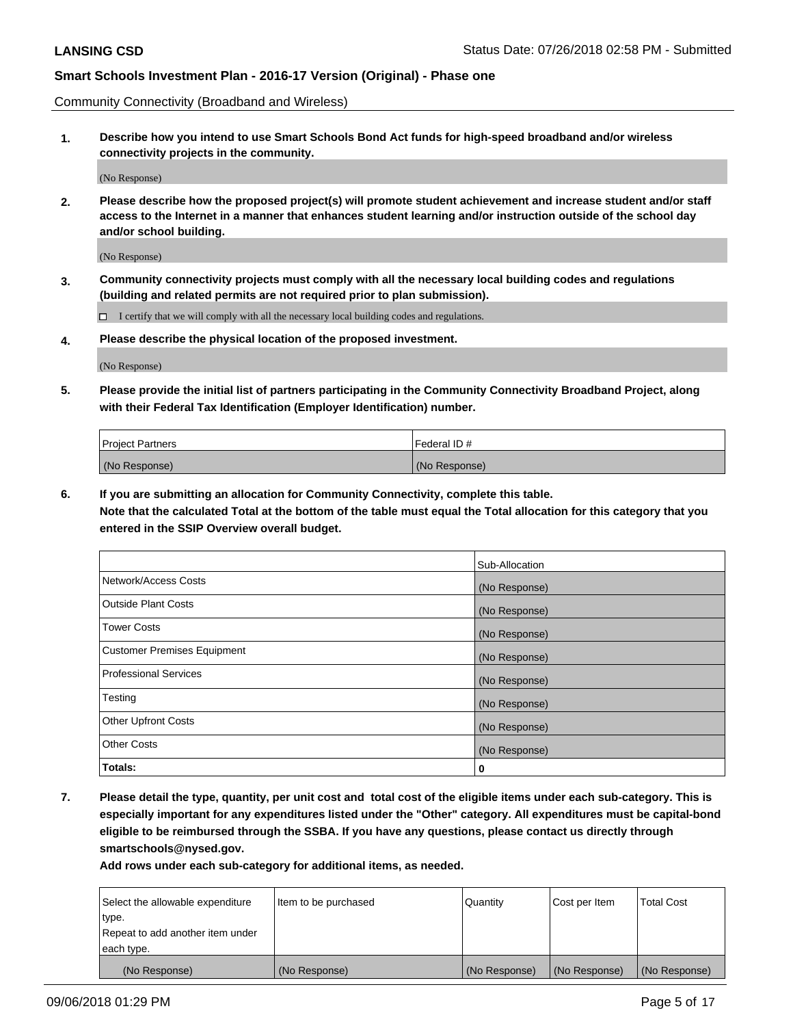Community Connectivity (Broadband and Wireless)

**1. Describe how you intend to use Smart Schools Bond Act funds for high-speed broadband and/or wireless connectivity projects in the community.**

(No Response)

**2. Please describe how the proposed project(s) will promote student achievement and increase student and/or staff access to the Internet in a manner that enhances student learning and/or instruction outside of the school day and/or school building.**

(No Response)

**3. Community connectivity projects must comply with all the necessary local building codes and regulations (building and related permits are not required prior to plan submission).**

 $\Box$  I certify that we will comply with all the necessary local building codes and regulations.

**4. Please describe the physical location of the proposed investment.**

(No Response)

**5. Please provide the initial list of partners participating in the Community Connectivity Broadband Project, along with their Federal Tax Identification (Employer Identification) number.**

| <b>Project Partners</b> | Federal ID#   |
|-------------------------|---------------|
| (No Response)           | (No Response) |

**6. If you are submitting an allocation for Community Connectivity, complete this table.**

**Note that the calculated Total at the bottom of the table must equal the Total allocation for this category that you entered in the SSIP Overview overall budget.**

|                                    | Sub-Allocation |
|------------------------------------|----------------|
| Network/Access Costs               | (No Response)  |
| <b>Outside Plant Costs</b>         | (No Response)  |
| <b>Tower Costs</b>                 | (No Response)  |
| <b>Customer Premises Equipment</b> | (No Response)  |
| <b>Professional Services</b>       | (No Response)  |
| Testing                            | (No Response)  |
| <b>Other Upfront Costs</b>         | (No Response)  |
| <b>Other Costs</b>                 | (No Response)  |
| Totals:                            | 0              |

**7. Please detail the type, quantity, per unit cost and total cost of the eligible items under each sub-category. This is especially important for any expenditures listed under the "Other" category. All expenditures must be capital-bond eligible to be reimbursed through the SSBA. If you have any questions, please contact us directly through smartschools@nysed.gov.**

| Select the allowable expenditure | Item to be purchased | Quantity      | Cost per Item | <b>Total Cost</b> |
|----------------------------------|----------------------|---------------|---------------|-------------------|
| type.                            |                      |               |               |                   |
| Repeat to add another item under |                      |               |               |                   |
| each type.                       |                      |               |               |                   |
| (No Response)                    | (No Response)        | (No Response) | (No Response) | (No Response)     |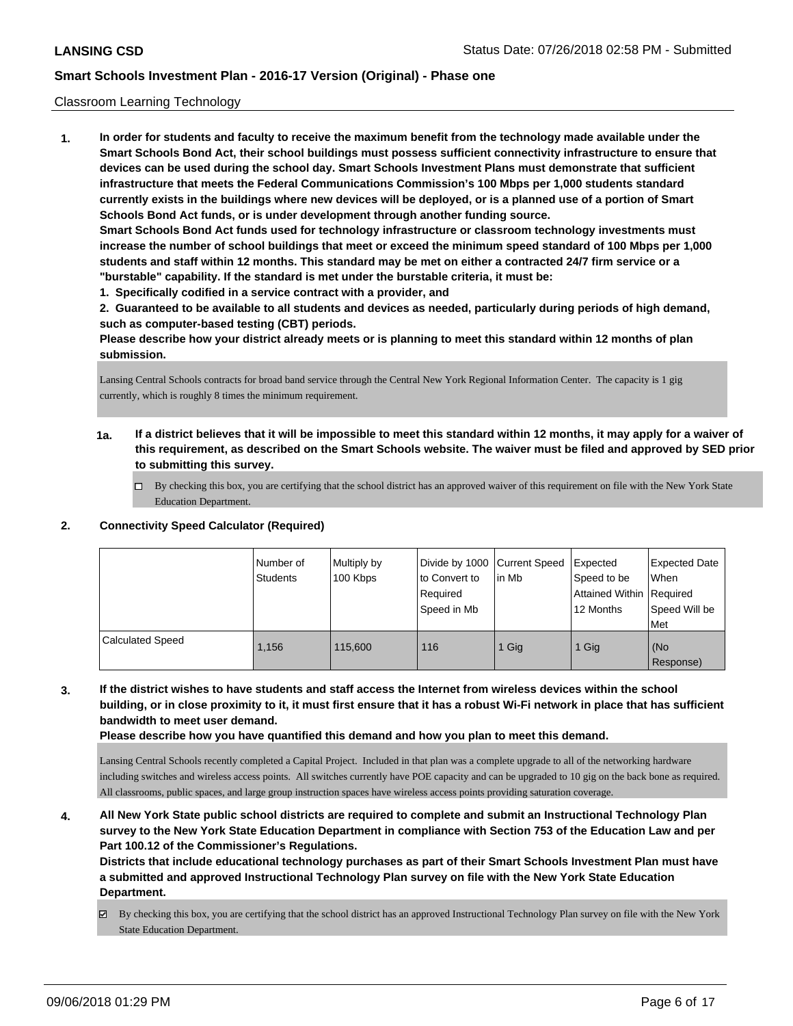#### Classroom Learning Technology

**1. In order for students and faculty to receive the maximum benefit from the technology made available under the Smart Schools Bond Act, their school buildings must possess sufficient connectivity infrastructure to ensure that devices can be used during the school day. Smart Schools Investment Plans must demonstrate that sufficient infrastructure that meets the Federal Communications Commission's 100 Mbps per 1,000 students standard currently exists in the buildings where new devices will be deployed, or is a planned use of a portion of Smart Schools Bond Act funds, or is under development through another funding source. Smart Schools Bond Act funds used for technology infrastructure or classroom technology investments must increase the number of school buildings that meet or exceed the minimum speed standard of 100 Mbps per 1,000 students and staff within 12 months. This standard may be met on either a contracted 24/7 firm service or a "burstable" capability. If the standard is met under the burstable criteria, it must be: 1. Specifically codified in a service contract with a provider, and**

**2. Guaranteed to be available to all students and devices as needed, particularly during periods of high demand, such as computer-based testing (CBT) periods.**

**Please describe how your district already meets or is planning to meet this standard within 12 months of plan submission.**

Lansing Central Schools contracts for broad band service through the Central New York Regional Information Center. The capacity is 1 gig currently, which is roughly 8 times the minimum requirement.

- **1a. If a district believes that it will be impossible to meet this standard within 12 months, it may apply for a waiver of this requirement, as described on the Smart Schools website. The waiver must be filed and approved by SED prior to submitting this survey.**
	- By checking this box, you are certifying that the school district has an approved waiver of this requirement on file with the New York State Education Department.

#### **2. Connectivity Speed Calculator (Required)**

|                         | I Number of<br>Students | Multiply by<br>100 Kbps | to Convert to<br>Required<br>Speed in Mb | Divide by 1000 Current Speed Expected<br>lin Mb | Speed to be<br>Attained Within Required<br>12 Months | <b>Expected Date</b><br>When<br>Speed Will be<br><b>Met</b> |
|-------------------------|-------------------------|-------------------------|------------------------------------------|-------------------------------------------------|------------------------------------------------------|-------------------------------------------------------------|
| <b>Calculated Speed</b> | 1.156                   | 115,600                 | 116                                      | 1 Gig                                           | 1 Gig                                                | (No<br>Response)                                            |

**3. If the district wishes to have students and staff access the Internet from wireless devices within the school building, or in close proximity to it, it must first ensure that it has a robust Wi-Fi network in place that has sufficient bandwidth to meet user demand.**

**Please describe how you have quantified this demand and how you plan to meet this demand.**

Lansing Central Schools recently completed a Capital Project. Included in that plan was a complete upgrade to all of the networking hardware including switches and wireless access points. All switches currently have POE capacity and can be upgraded to 10 gig on the back bone as required. All classrooms, public spaces, and large group instruction spaces have wireless access points providing saturation coverage.

**4. All New York State public school districts are required to complete and submit an Instructional Technology Plan survey to the New York State Education Department in compliance with Section 753 of the Education Law and per Part 100.12 of the Commissioner's Regulations.**

**Districts that include educational technology purchases as part of their Smart Schools Investment Plan must have a submitted and approved Instructional Technology Plan survey on file with the New York State Education Department.**

By checking this box, you are certifying that the school district has an approved Instructional Technology Plan survey on file with the New York State Education Department.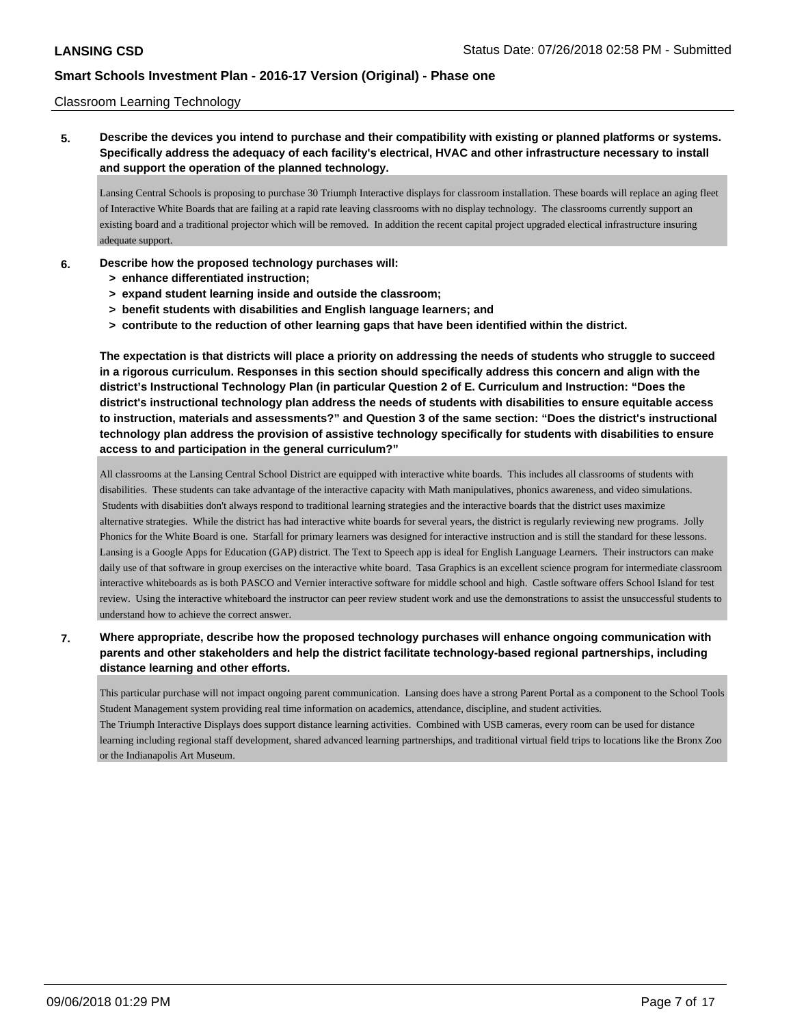### Classroom Learning Technology

**5. Describe the devices you intend to purchase and their compatibility with existing or planned platforms or systems. Specifically address the adequacy of each facility's electrical, HVAC and other infrastructure necessary to install and support the operation of the planned technology.**

Lansing Central Schools is proposing to purchase 30 Triumph Interactive displays for classroom installation. These boards will replace an aging fleet of Interactive White Boards that are failing at a rapid rate leaving classrooms with no display technology. The classrooms currently support an existing board and a traditional projector which will be removed. In addition the recent capital project upgraded electical infrastructure insuring adequate support.

- **6. Describe how the proposed technology purchases will:**
	- **> enhance differentiated instruction;**
	- **> expand student learning inside and outside the classroom;**
	- **> benefit students with disabilities and English language learners; and**
	- **> contribute to the reduction of other learning gaps that have been identified within the district.**

**The expectation is that districts will place a priority on addressing the needs of students who struggle to succeed in a rigorous curriculum. Responses in this section should specifically address this concern and align with the district's Instructional Technology Plan (in particular Question 2 of E. Curriculum and Instruction: "Does the district's instructional technology plan address the needs of students with disabilities to ensure equitable access to instruction, materials and assessments?" and Question 3 of the same section: "Does the district's instructional technology plan address the provision of assistive technology specifically for students with disabilities to ensure access to and participation in the general curriculum?"**

All classrooms at the Lansing Central School District are equipped with interactive white boards. This includes all classrooms of students with disabilities. These students can take advantage of the interactive capacity with Math manipulatives, phonics awareness, and video simulations. Students with disabiities don't always respond to traditional learning strategies and the interactive boards that the district uses maximize alternative strategies. While the district has had interactive white boards for several years, the district is regularly reviewing new programs. Jolly Phonics for the White Board is one. Starfall for primary learners was designed for interactive instruction and is still the standard for these lessons. Lansing is a Google Apps for Education (GAP) district. The Text to Speech app is ideal for English Language Learners. Their instructors can make daily use of that software in group exercises on the interactive white board. Tasa Graphics is an excellent science program for intermediate classroom interactive whiteboards as is both PASCO and Vernier interactive software for middle school and high. Castle software offers School Island for test review. Using the interactive whiteboard the instructor can peer review student work and use the demonstrations to assist the unsuccessful students to understand how to achieve the correct answer.

**7. Where appropriate, describe how the proposed technology purchases will enhance ongoing communication with parents and other stakeholders and help the district facilitate technology-based regional partnerships, including distance learning and other efforts.**

This particular purchase will not impact ongoing parent communication. Lansing does have a strong Parent Portal as a component to the School Tools Student Management system providing real time information on academics, attendance, discipline, and student activities. The Triumph Interactive Displays does support distance learning activities. Combined with USB cameras, every room can be used for distance learning including regional staff development, shared advanced learning partnerships, and traditional virtual field trips to locations like the Bronx Zoo or the Indianapolis Art Museum.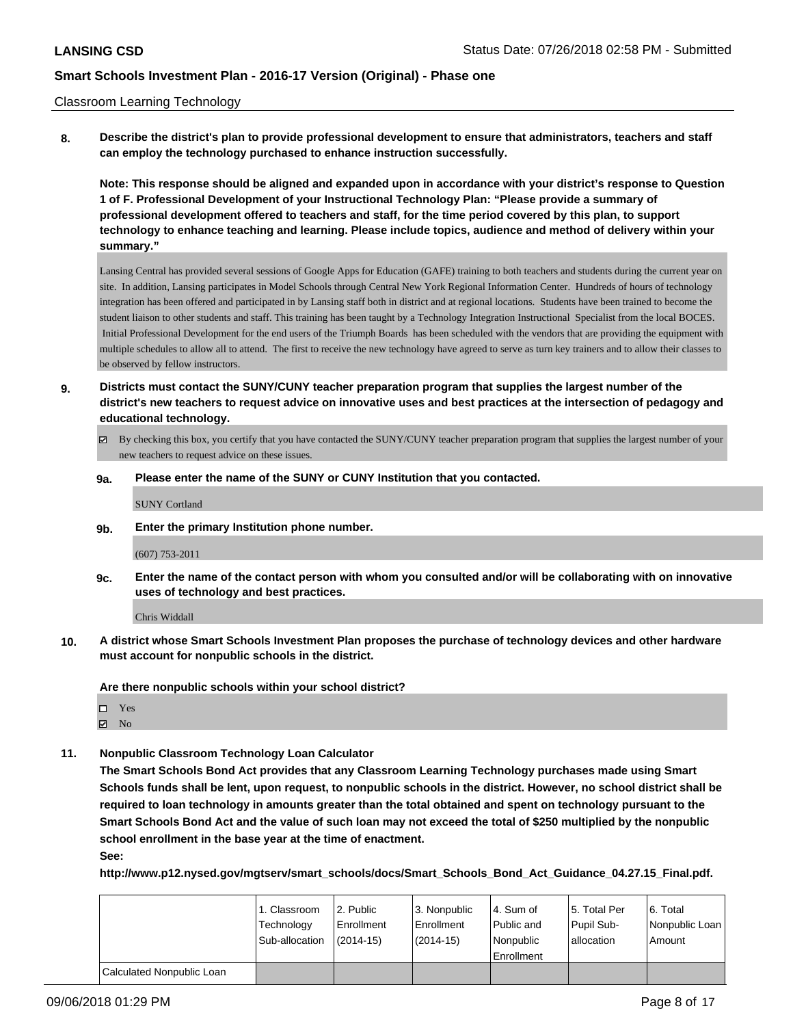#### Classroom Learning Technology

**8. Describe the district's plan to provide professional development to ensure that administrators, teachers and staff can employ the technology purchased to enhance instruction successfully.**

**Note: This response should be aligned and expanded upon in accordance with your district's response to Question 1 of F. Professional Development of your Instructional Technology Plan: "Please provide a summary of professional development offered to teachers and staff, for the time period covered by this plan, to support technology to enhance teaching and learning. Please include topics, audience and method of delivery within your summary."**

Lansing Central has provided several sessions of Google Apps for Education (GAFE) training to both teachers and students during the current year on site. In addition, Lansing participates in Model Schools through Central New York Regional Information Center. Hundreds of hours of technology integration has been offered and participated in by Lansing staff both in district and at regional locations. Students have been trained to become the student liaison to other students and staff. This training has been taught by a Technology Integration Instructional Specialist from the local BOCES. Initial Professional Development for the end users of the Triumph Boards has been scheduled with the vendors that are providing the equipment with multiple schedules to allow all to attend. The first to receive the new technology have agreed to serve as turn key trainers and to allow their classes to be observed by fellow instructors.

- **9. Districts must contact the SUNY/CUNY teacher preparation program that supplies the largest number of the district's new teachers to request advice on innovative uses and best practices at the intersection of pedagogy and educational technology.**
	- By checking this box, you certify that you have contacted the SUNY/CUNY teacher preparation program that supplies the largest number of your new teachers to request advice on these issues.

#### **9a. Please enter the name of the SUNY or CUNY Institution that you contacted.**

SUNY Cortland

**9b. Enter the primary Institution phone number.**

#### (607) 753-2011

**9c. Enter the name of the contact person with whom you consulted and/or will be collaborating with on innovative uses of technology and best practices.**

Chris Widdall

**10. A district whose Smart Schools Investment Plan proposes the purchase of technology devices and other hardware must account for nonpublic schools in the district.**

**Are there nonpublic schools within your school district?**

□ Yes

**Z** No

**11. Nonpublic Classroom Technology Loan Calculator**

**The Smart Schools Bond Act provides that any Classroom Learning Technology purchases made using Smart Schools funds shall be lent, upon request, to nonpublic schools in the district. However, no school district shall be required to loan technology in amounts greater than the total obtained and spent on technology pursuant to the Smart Schools Bond Act and the value of such loan may not exceed the total of \$250 multiplied by the nonpublic school enrollment in the base year at the time of enactment.**

**See:**

**http://www.p12.nysed.gov/mgtserv/smart\_schools/docs/Smart\_Schools\_Bond\_Act\_Guidance\_04.27.15\_Final.pdf.**

|                           | 1. Classroom   | 2. Public   | 3. Nonpublic | 4. Sum of  | 15. Total Per | l 6. Total     |
|---------------------------|----------------|-------------|--------------|------------|---------------|----------------|
|                           | Technology     | Enrollment  | l Enrollment | Public and | Pupil Sub-    | Nonpublic Loan |
|                           | Sub-allocation | $(2014-15)$ | (2014-15)    | Nonpublic  | lallocation   | Amount         |
|                           |                |             |              | Enrollment |               |                |
| Calculated Nonpublic Loan |                |             |              |            |               |                |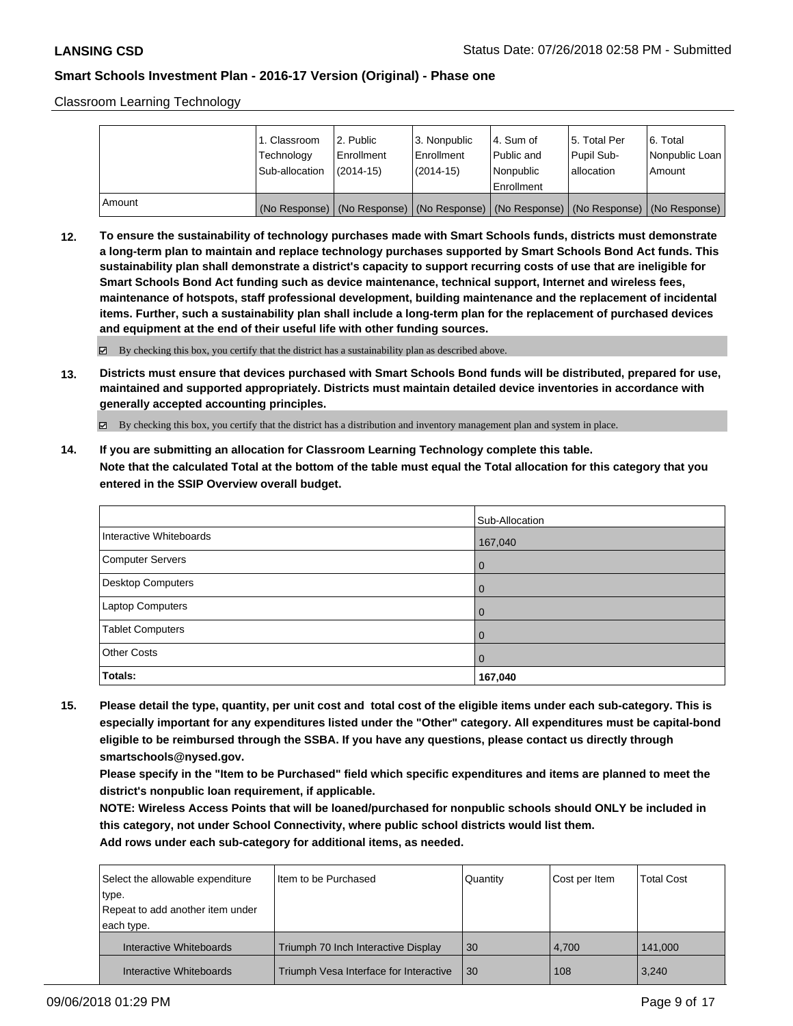Classroom Learning Technology

|        | 1. Classroom<br>Technology<br>Sub-allocation                                                  | l 2. Public<br>Enrollment<br>$(2014-15)$ | l 3. Nonpublic<br>Enrollment<br>$(2014 - 15)$ | l 4. Sum of<br>Public and<br>Nonpublic | 15. Total Per<br>Pupil Sub-<br>allocation | l 6. Total<br>Nonpublic Loan<br>Amount |
|--------|-----------------------------------------------------------------------------------------------|------------------------------------------|-----------------------------------------------|----------------------------------------|-------------------------------------------|----------------------------------------|
|        |                                                                                               |                                          |                                               | Enrollment                             |                                           |                                        |
| Amount | (No Response)   (No Response)   (No Response)   (No Response)   (No Response)   (No Response) |                                          |                                               |                                        |                                           |                                        |

**12. To ensure the sustainability of technology purchases made with Smart Schools funds, districts must demonstrate a long-term plan to maintain and replace technology purchases supported by Smart Schools Bond Act funds. This sustainability plan shall demonstrate a district's capacity to support recurring costs of use that are ineligible for Smart Schools Bond Act funding such as device maintenance, technical support, Internet and wireless fees, maintenance of hotspots, staff professional development, building maintenance and the replacement of incidental items. Further, such a sustainability plan shall include a long-term plan for the replacement of purchased devices and equipment at the end of their useful life with other funding sources.**

By checking this box, you certify that the district has a sustainability plan as described above.

**13. Districts must ensure that devices purchased with Smart Schools Bond funds will be distributed, prepared for use, maintained and supported appropriately. Districts must maintain detailed device inventories in accordance with generally accepted accounting principles.**

By checking this box, you certify that the district has a distribution and inventory management plan and system in place.

**14. If you are submitting an allocation for Classroom Learning Technology complete this table. Note that the calculated Total at the bottom of the table must equal the Total allocation for this category that you entered in the SSIP Overview overall budget.**

|                          | Sub-Allocation |
|--------------------------|----------------|
| Interactive Whiteboards  | 167,040        |
| Computer Servers         | l O            |
| <b>Desktop Computers</b> | $\overline{0}$ |
| <b>Laptop Computers</b>  | $\overline{0}$ |
| <b>Tablet Computers</b>  | $\overline{0}$ |
| <b>Other Costs</b>       | l 0            |
| Totals:                  | 167,040        |

**15. Please detail the type, quantity, per unit cost and total cost of the eligible items under each sub-category. This is especially important for any expenditures listed under the "Other" category. All expenditures must be capital-bond eligible to be reimbursed through the SSBA. If you have any questions, please contact us directly through smartschools@nysed.gov.**

**Please specify in the "Item to be Purchased" field which specific expenditures and items are planned to meet the district's nonpublic loan requirement, if applicable.**

**NOTE: Wireless Access Points that will be loaned/purchased for nonpublic schools should ONLY be included in this category, not under School Connectivity, where public school districts would list them. Add rows under each sub-category for additional items, as needed.**

| Select the allowable expenditure<br>type.<br>Repeat to add another item under | Item to be Purchased                   | Quantity | Cost per Item | <b>Total Cost</b> |
|-------------------------------------------------------------------------------|----------------------------------------|----------|---------------|-------------------|
| each type.                                                                    |                                        |          |               |                   |
| Interactive Whiteboards                                                       | Triumph 70 Inch Interactive Display    | 30       | 4.700         | 141.000           |
| Interactive Whiteboards                                                       | Triumph Vesa Interface for Interactive | 30       | 108           | 3,240             |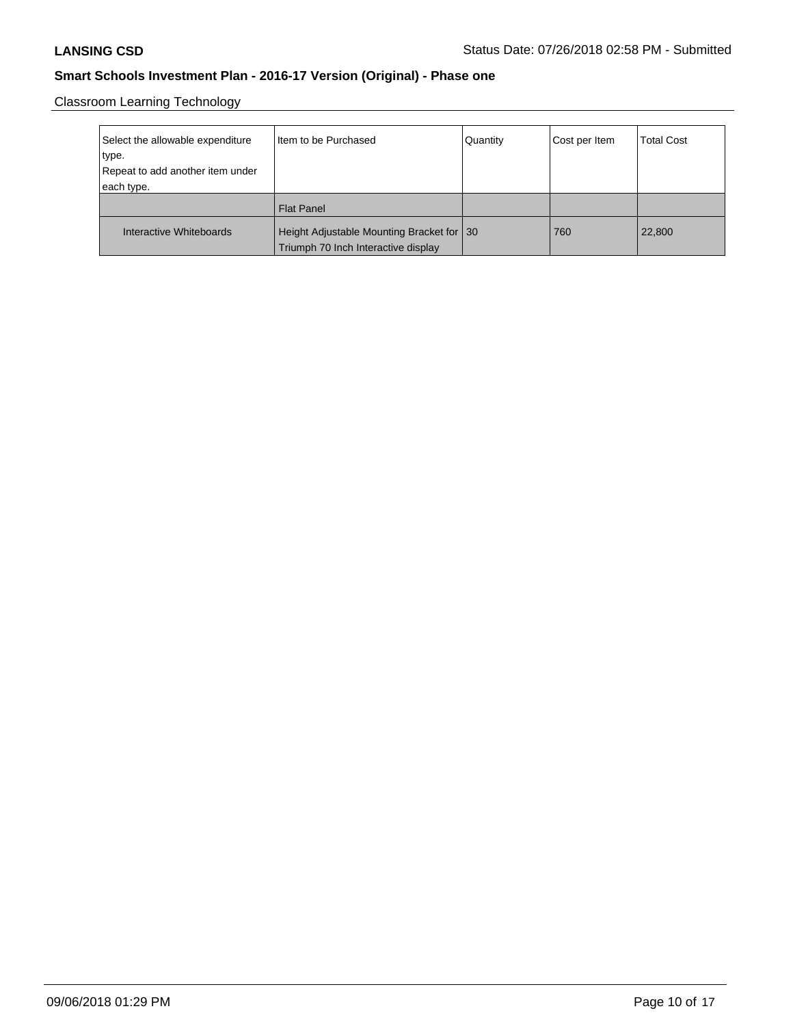Classroom Learning Technology

| Select the allowable expenditure | I Item to be Purchased                      | Quantity | Cost per Item | <b>Total Cost</b> |
|----------------------------------|---------------------------------------------|----------|---------------|-------------------|
| type.                            |                                             |          |               |                   |
| Repeat to add another item under |                                             |          |               |                   |
| each type.                       |                                             |          |               |                   |
|                                  | Flat Panel                                  |          |               |                   |
|                                  |                                             |          |               |                   |
| Interactive Whiteboards          | Height Adjustable Mounting Bracket for   30 |          | 760           | 22,800            |
|                                  | Triumph 70 Inch Interactive display         |          |               |                   |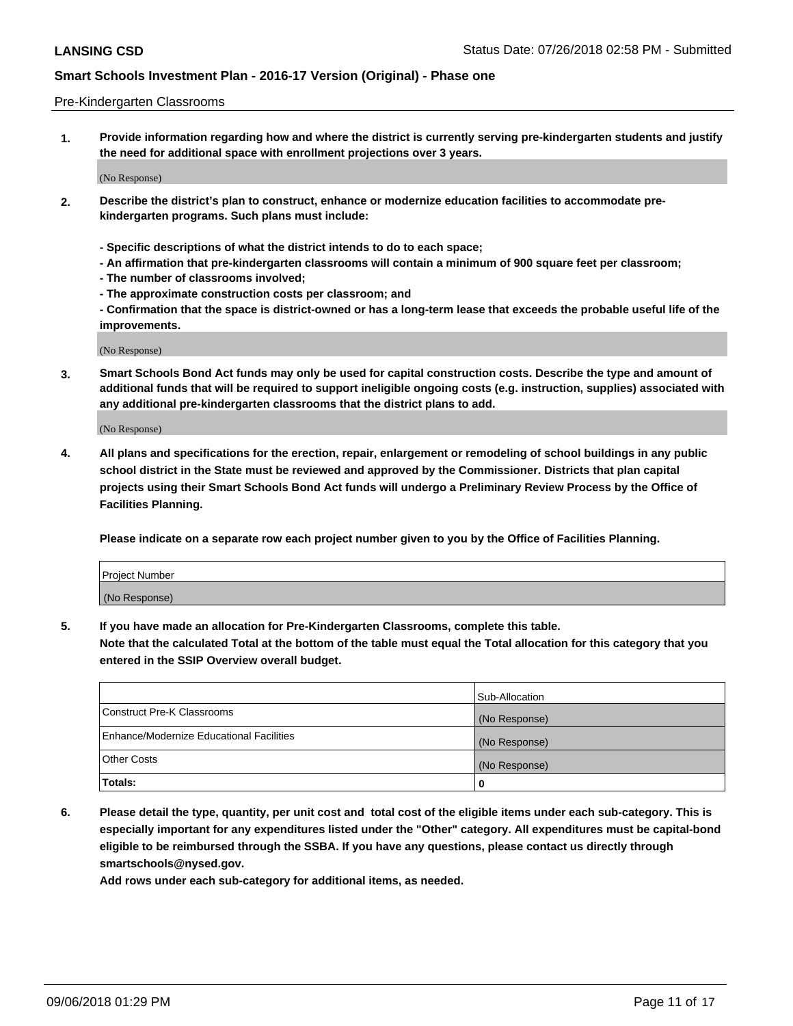#### Pre-Kindergarten Classrooms

**1. Provide information regarding how and where the district is currently serving pre-kindergarten students and justify the need for additional space with enrollment projections over 3 years.**

(No Response)

- **2. Describe the district's plan to construct, enhance or modernize education facilities to accommodate prekindergarten programs. Such plans must include:**
	- **Specific descriptions of what the district intends to do to each space;**
	- **An affirmation that pre-kindergarten classrooms will contain a minimum of 900 square feet per classroom;**
	- **The number of classrooms involved;**
	- **The approximate construction costs per classroom; and**
	- **Confirmation that the space is district-owned or has a long-term lease that exceeds the probable useful life of the improvements.**

(No Response)

**3. Smart Schools Bond Act funds may only be used for capital construction costs. Describe the type and amount of additional funds that will be required to support ineligible ongoing costs (e.g. instruction, supplies) associated with any additional pre-kindergarten classrooms that the district plans to add.**

(No Response)

**4. All plans and specifications for the erection, repair, enlargement or remodeling of school buildings in any public school district in the State must be reviewed and approved by the Commissioner. Districts that plan capital projects using their Smart Schools Bond Act funds will undergo a Preliminary Review Process by the Office of Facilities Planning.**

**Please indicate on a separate row each project number given to you by the Office of Facilities Planning.**

| Project Number |  |
|----------------|--|
| (No Response)  |  |
|                |  |

**5. If you have made an allocation for Pre-Kindergarten Classrooms, complete this table.**

**Note that the calculated Total at the bottom of the table must equal the Total allocation for this category that you entered in the SSIP Overview overall budget.**

|                                          | Sub-Allocation |
|------------------------------------------|----------------|
| Construct Pre-K Classrooms               | (No Response)  |
| Enhance/Modernize Educational Facilities | (No Response)  |
| <b>Other Costs</b>                       | (No Response)  |
| Totals:                                  | 0              |

**6. Please detail the type, quantity, per unit cost and total cost of the eligible items under each sub-category. This is especially important for any expenditures listed under the "Other" category. All expenditures must be capital-bond eligible to be reimbursed through the SSBA. If you have any questions, please contact us directly through smartschools@nysed.gov.**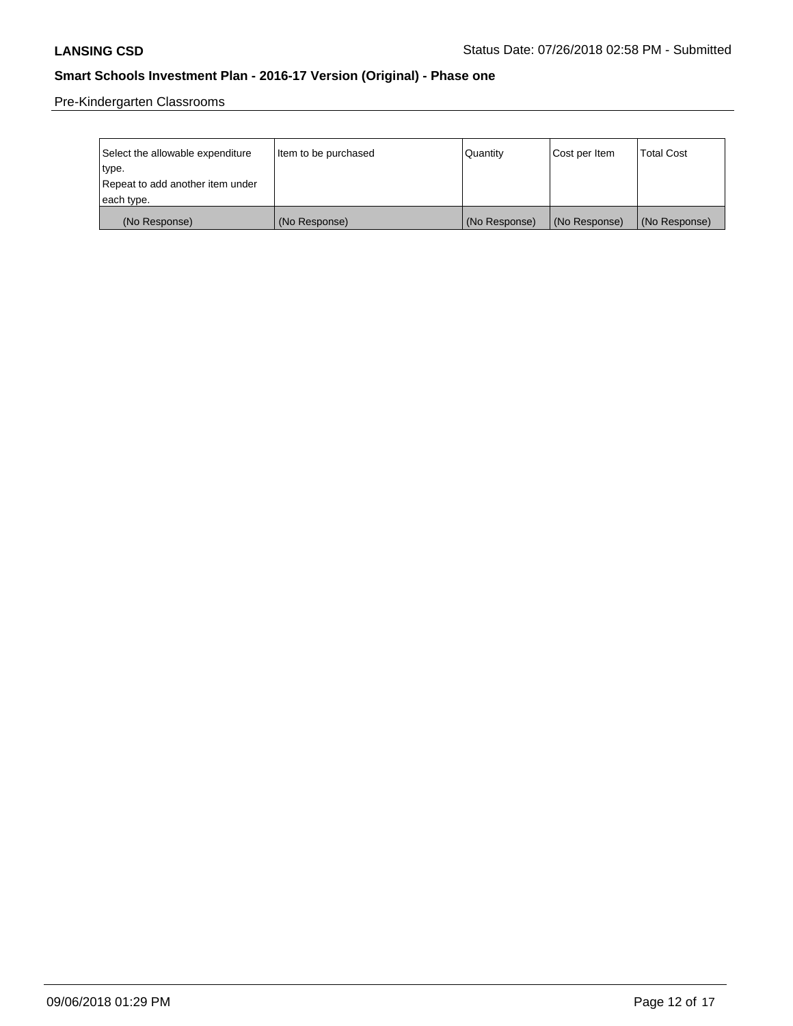Pre-Kindergarten Classrooms

| Select the allowable expenditure | Item to be purchased | Quantity      | Cost per Item | <b>Total Cost</b> |
|----------------------------------|----------------------|---------------|---------------|-------------------|
| type.                            |                      |               |               |                   |
| Repeat to add another item under |                      |               |               |                   |
| each type.                       |                      |               |               |                   |
| (No Response)                    | (No Response)        | (No Response) | (No Response) | (No Response)     |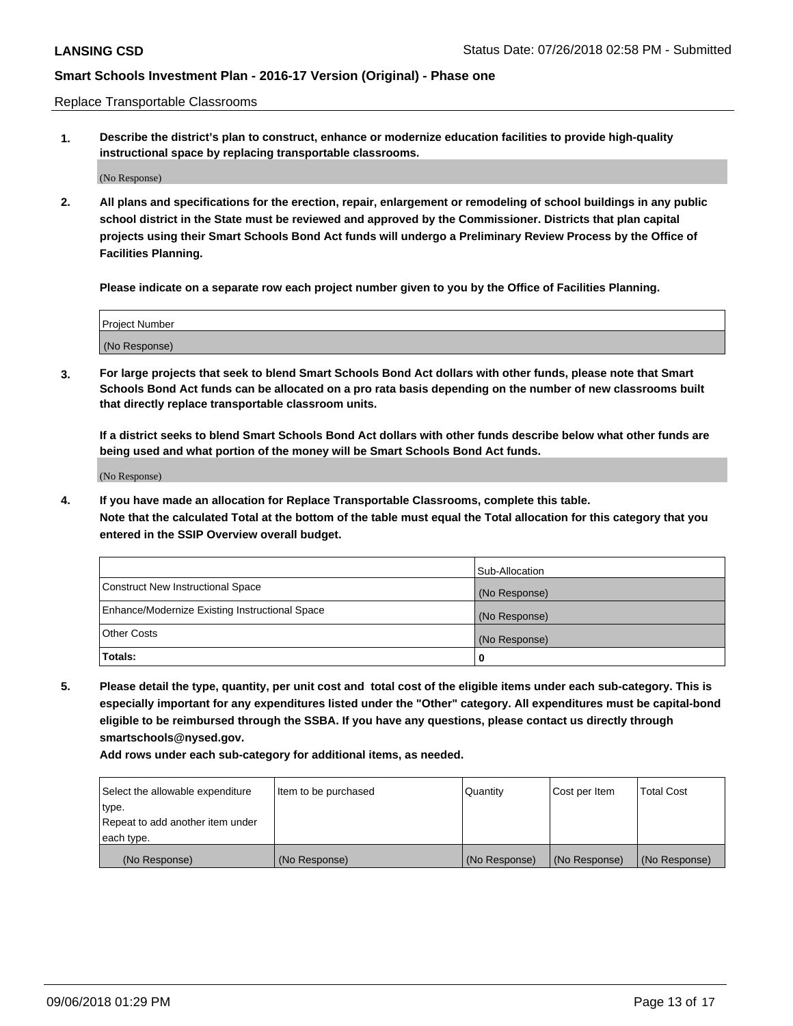Replace Transportable Classrooms

**1. Describe the district's plan to construct, enhance or modernize education facilities to provide high-quality instructional space by replacing transportable classrooms.**

(No Response)

**2. All plans and specifications for the erection, repair, enlargement or remodeling of school buildings in any public school district in the State must be reviewed and approved by the Commissioner. Districts that plan capital projects using their Smart Schools Bond Act funds will undergo a Preliminary Review Process by the Office of Facilities Planning.**

**Please indicate on a separate row each project number given to you by the Office of Facilities Planning.**

| Project Number |  |
|----------------|--|
|                |  |
|                |  |
|                |  |
|                |  |
| (No Response)  |  |
|                |  |
|                |  |
|                |  |

**3. For large projects that seek to blend Smart Schools Bond Act dollars with other funds, please note that Smart Schools Bond Act funds can be allocated on a pro rata basis depending on the number of new classrooms built that directly replace transportable classroom units.**

**If a district seeks to blend Smart Schools Bond Act dollars with other funds describe below what other funds are being used and what portion of the money will be Smart Schools Bond Act funds.**

(No Response)

**4. If you have made an allocation for Replace Transportable Classrooms, complete this table. Note that the calculated Total at the bottom of the table must equal the Total allocation for this category that you entered in the SSIP Overview overall budget.**

|                                                | Sub-Allocation |
|------------------------------------------------|----------------|
| Construct New Instructional Space              | (No Response)  |
| Enhance/Modernize Existing Instructional Space | (No Response)  |
| <b>Other Costs</b>                             | (No Response)  |
| Totals:                                        | 0              |

**5. Please detail the type, quantity, per unit cost and total cost of the eligible items under each sub-category. This is especially important for any expenditures listed under the "Other" category. All expenditures must be capital-bond eligible to be reimbursed through the SSBA. If you have any questions, please contact us directly through smartschools@nysed.gov.**

| Select the allowable expenditure | Item to be purchased | l Quantitv    | Cost per Item | <b>Total Cost</b> |
|----------------------------------|----------------------|---------------|---------------|-------------------|
| type.                            |                      |               |               |                   |
| Repeat to add another item under |                      |               |               |                   |
| each type.                       |                      |               |               |                   |
| (No Response)                    | (No Response)        | (No Response) | (No Response) | (No Response)     |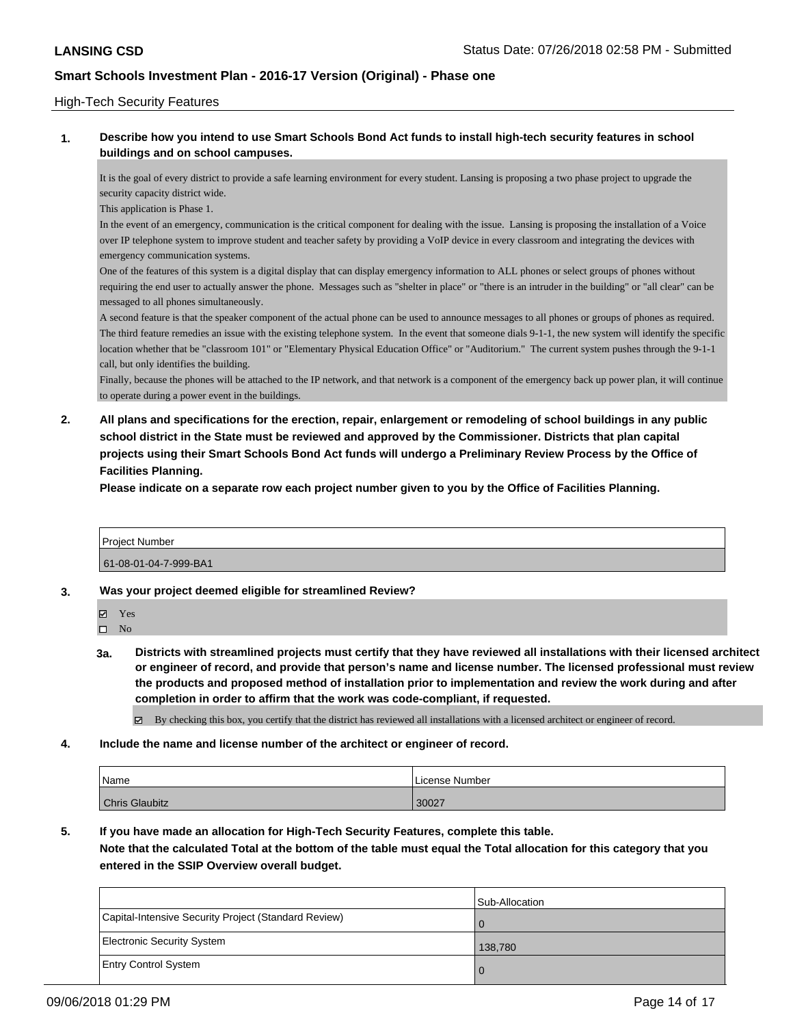### High-Tech Security Features

### **1. Describe how you intend to use Smart Schools Bond Act funds to install high-tech security features in school buildings and on school campuses.**

It is the goal of every district to provide a safe learning environment for every student. Lansing is proposing a two phase project to upgrade the security capacity district wide.

This application is Phase 1.

In the event of an emergency, communication is the critical component for dealing with the issue. Lansing is proposing the installation of a Voice over IP telephone system to improve student and teacher safety by providing a VoIP device in every classroom and integrating the devices with emergency communication systems.

One of the features of this system is a digital display that can display emergency information to ALL phones or select groups of phones without requiring the end user to actually answer the phone. Messages such as "shelter in place" or "there is an intruder in the building" or "all clear" can be messaged to all phones simultaneously.

A second feature is that the speaker component of the actual phone can be used to announce messages to all phones or groups of phones as required. The third feature remedies an issue with the existing telephone system. In the event that someone dials 9-1-1, the new system will identify the specific location whether that be "classroom 101" or "Elementary Physical Education Office" or "Auditorium." The current system pushes through the 9-1-1 call, but only identifies the building.

Finally, because the phones will be attached to the IP network, and that network is a component of the emergency back up power plan, it will continue to operate during a power event in the buildings.

**2. All plans and specifications for the erection, repair, enlargement or remodeling of school buildings in any public school district in the State must be reviewed and approved by the Commissioner. Districts that plan capital projects using their Smart Schools Bond Act funds will undergo a Preliminary Review Process by the Office of Facilities Planning.** 

**Please indicate on a separate row each project number given to you by the Office of Facilities Planning.**

| Project Number        |  |
|-----------------------|--|
| 61-08-01-04-7-999-BA1 |  |

**3. Was your project deemed eligible for streamlined Review?**

Yes

 $\square$  No

- **3a. Districts with streamlined projects must certify that they have reviewed all installations with their licensed architect or engineer of record, and provide that person's name and license number. The licensed professional must review the products and proposed method of installation prior to implementation and review the work during and after completion in order to affirm that the work was code-compliant, if requested.**
	- By checking this box, you certify that the district has reviewed all installations with a licensed architect or engineer of record.
- **4. Include the name and license number of the architect or engineer of record.**

| Name                  | License Number |
|-----------------------|----------------|
| <b>Chris Glaubitz</b> | 30027          |

**5. If you have made an allocation for High-Tech Security Features, complete this table.**

**Note that the calculated Total at the bottom of the table must equal the Total allocation for this category that you entered in the SSIP Overview overall budget.**

|                                                      | Sub-Allocation |
|------------------------------------------------------|----------------|
| Capital-Intensive Security Project (Standard Review) |                |
| Electronic Security System                           | 138,780        |
| <b>Entry Control System</b>                          | $\Omega$       |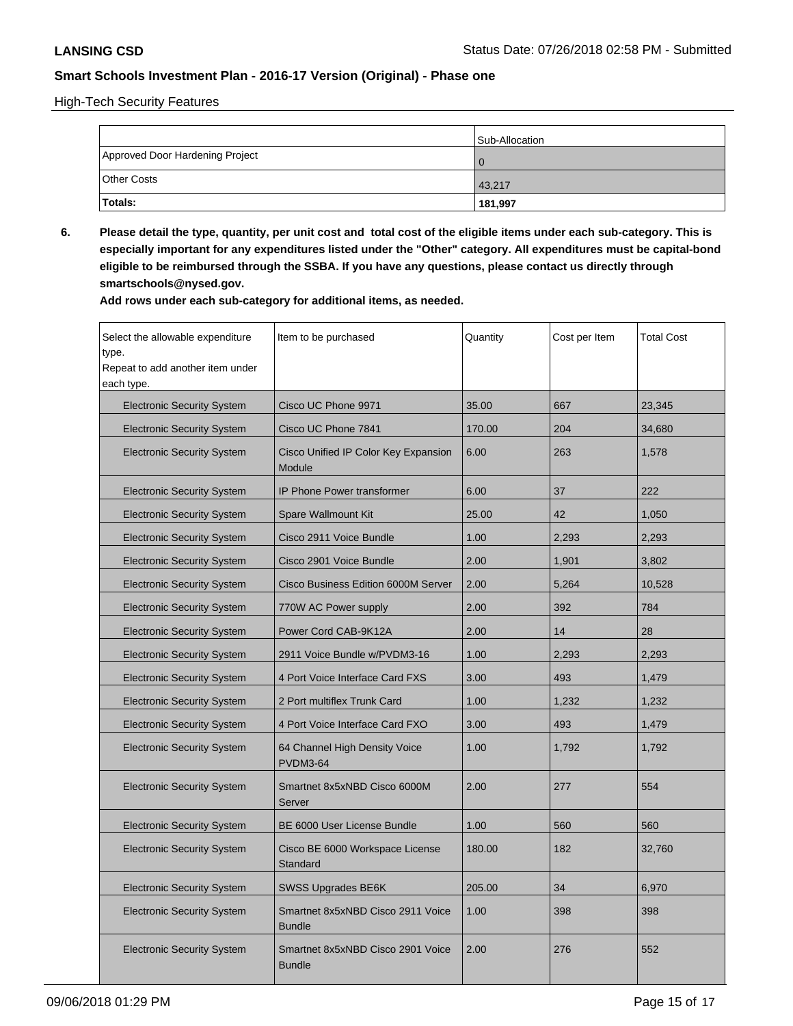High-Tech Security Features

|                                 | Sub-Allocation   |
|---------------------------------|------------------|
| Approved Door Hardening Project |                  |
| <b>Other Costs</b>              | $ 43,217\rangle$ |
| Totals:                         | 181,997          |

**6. Please detail the type, quantity, per unit cost and total cost of the eligible items under each sub-category. This is especially important for any expenditures listed under the "Other" category. All expenditures must be capital-bond eligible to be reimbursed through the SSBA. If you have any questions, please contact us directly through smartschools@nysed.gov.**

| Select the allowable expenditure<br>type.<br>Repeat to add another item under<br>each type. | Item to be purchased                               | Quantity | Cost per Item | <b>Total Cost</b> |
|---------------------------------------------------------------------------------------------|----------------------------------------------------|----------|---------------|-------------------|
| <b>Electronic Security System</b>                                                           | Cisco UC Phone 9971                                | 35.00    | 667           | 23,345            |
| <b>Electronic Security System</b>                                                           | Cisco UC Phone 7841                                | 170.00   | 204           | 34,680            |
| <b>Electronic Security System</b>                                                           | Cisco Unified IP Color Key Expansion<br>Module     | 6.00     | 263           | 1,578             |
| <b>Electronic Security System</b>                                                           | <b>IP Phone Power transformer</b>                  | 6.00     | 37            | 222               |
| <b>Electronic Security System</b>                                                           | <b>Spare Wallmount Kit</b>                         | 25.00    | 42            | 1,050             |
| <b>Electronic Security System</b>                                                           | Cisco 2911 Voice Bundle                            | 1.00     | 2,293         | 2,293             |
| <b>Electronic Security System</b>                                                           | Cisco 2901 Voice Bundle                            | 2.00     | 1,901         | 3,802             |
| <b>Electronic Security System</b>                                                           | Cisco Business Edition 6000M Server                | 2.00     | 5,264         | 10,528            |
| <b>Electronic Security System</b>                                                           | 770W AC Power supply                               | 2.00     | 392           | 784               |
| <b>Electronic Security System</b>                                                           | Power Cord CAB-9K12A                               | 2.00     | 14            | 28                |
| <b>Electronic Security System</b>                                                           | 2911 Voice Bundle w/PVDM3-16                       | 1.00     | 2,293         | 2,293             |
| <b>Electronic Security System</b>                                                           | 4 Port Voice Interface Card FXS                    | 3.00     | 493           | 1,479             |
| <b>Electronic Security System</b>                                                           | 2 Port multiflex Trunk Card                        | 1.00     | 1.232         | 1,232             |
| <b>Electronic Security System</b>                                                           | 4 Port Voice Interface Card FXO                    | 3.00     | 493           | 1,479             |
| <b>Electronic Security System</b>                                                           | 64 Channel High Density Voice<br><b>PVDM3-64</b>   | 1.00     | 1,792         | 1,792             |
| <b>Electronic Security System</b>                                                           | Smartnet 8x5xNBD Cisco 6000M<br>Server             | 2.00     | 277           | 554               |
| <b>Electronic Security System</b>                                                           | BE 6000 User License Bundle                        | 1.00     | 560           | 560               |
| <b>Electronic Security System</b>                                                           | Cisco BE 6000 Workspace License<br>Standard        | 180.00   | 182           | 32,760            |
| <b>Electronic Security System</b>                                                           | <b>SWSS Upgrades BE6K</b>                          | 205.00   | 34            | 6,970             |
| <b>Electronic Security System</b>                                                           | Smartnet 8x5xNBD Cisco 2911 Voice<br><b>Bundle</b> | 1.00     | 398           | 398               |
| <b>Electronic Security System</b>                                                           | Smartnet 8x5xNBD Cisco 2901 Voice<br><b>Bundle</b> | 2.00     | 276           | 552               |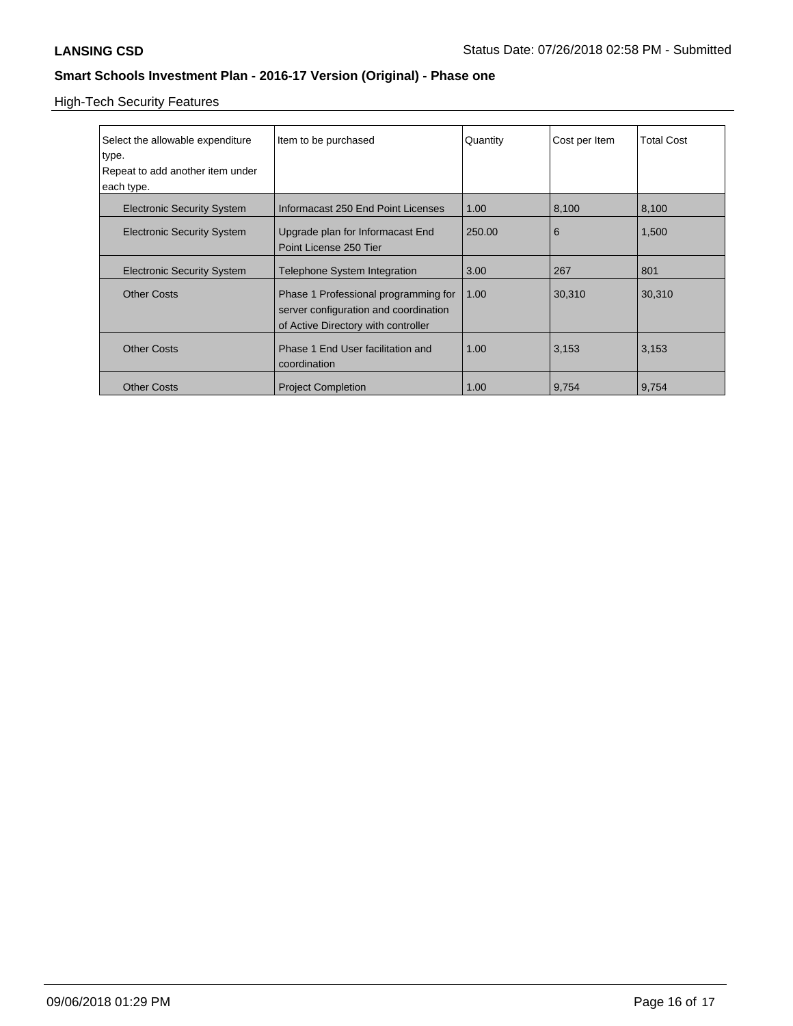High-Tech Security Features

| Select the allowable expenditure  | Item to be purchased                  | Quantity | Cost per Item | <b>Total Cost</b> |
|-----------------------------------|---------------------------------------|----------|---------------|-------------------|
| type.                             |                                       |          |               |                   |
| Repeat to add another item under  |                                       |          |               |                   |
| each type.                        |                                       |          |               |                   |
| <b>Electronic Security System</b> | Informacast 250 End Point Licenses    | 1.00     | 8,100         | 8,100             |
| <b>Electronic Security System</b> | Upgrade plan for Informacast End      | 250.00   | 6             | 1,500             |
|                                   | Point License 250 Tier                |          |               |                   |
|                                   |                                       |          |               |                   |
| <b>Electronic Security System</b> | <b>Telephone System Integration</b>   | 3.00     | 267           | 801               |
| <b>Other Costs</b>                | Phase 1 Professional programming for  | 1.00     | 30,310        | 30,310            |
|                                   | server configuration and coordination |          |               |                   |
|                                   | of Active Directory with controller   |          |               |                   |
|                                   |                                       |          |               |                   |
| <b>Other Costs</b>                | Phase 1 End User facilitation and     | 1.00     | 3,153         | 3,153             |
|                                   | coordination                          |          |               |                   |
| <b>Other Costs</b>                | <b>Project Completion</b>             | 1.00     | 9,754         | 9,754             |